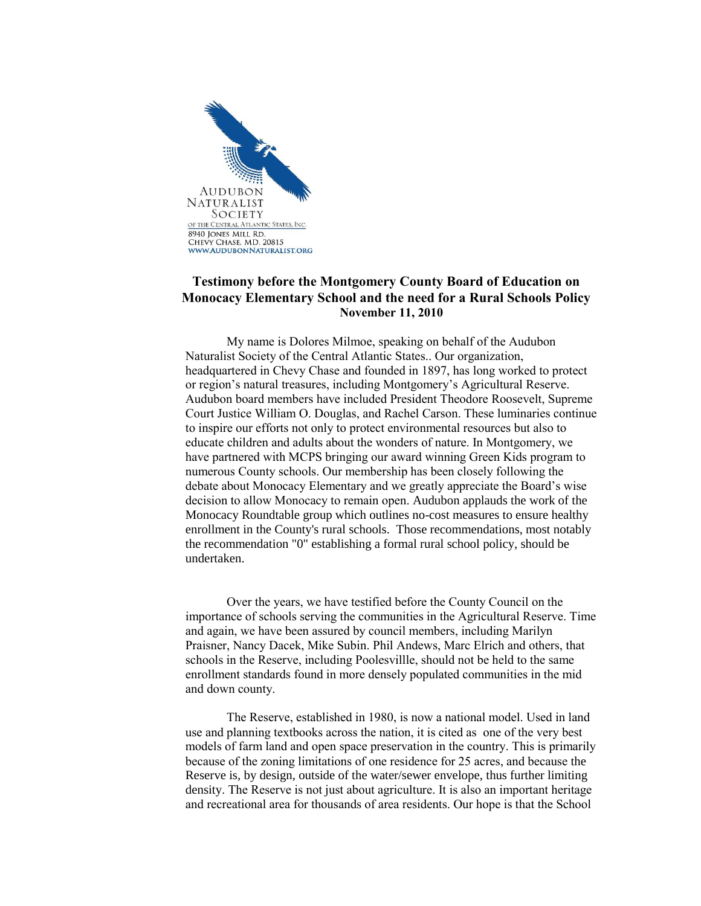

## **Testimony before the Montgomery County Board of Education on Monocacy Elementary School and the need for a Rural Schools Policy November 11, 2010**

My name is Dolores Milmoe, speaking on behalf of the Audubon Naturalist Society of the Central Atlantic States.. Our organization, headquartered in Chevy Chase and founded in 1897, has long worked to protect or region's natural treasures, including Montgomery's Agricultural Reserve. Audubon board members have included President Theodore Roosevelt, Supreme Court Justice William O. Douglas, and Rachel Carson. These luminaries continue to inspire our efforts not only to protect environmental resources but also to educate children and adults about the wonders of nature. In Montgomery, we have partnered with MCPS bringing our award winning Green Kids program to numerous County schools. Our membership has been closely following the debate about Monocacy Elementary and we greatly appreciate the Board's wise decision to allow Monocacy to remain open. Audubon applauds the work of the Monocacy Roundtable group which outlines no-cost measures to ensure healthy enrollment in the County's rural schools. Those recommendations, most notably the recommendation "0" establishing a formal rural school policy, should be undertaken.

Over the years, we have testified before the County Council on the importance of schools serving the communities in the Agricultural Reserve. Time and again, we have been assured by council members, including Marilyn Praisner, Nancy Dacek, Mike Subin. Phil Andews, Marc Elrich and others, that schools in the Reserve, including Poolesvillle, should not be held to the same enrollment standards found in more densely populated communities in the mid and down county.

The Reserve, established in 1980, is now a national model. Used in land use and planning textbooks across the nation, it is cited as one of the very best models of farm land and open space preservation in the country. This is primarily because of the zoning limitations of one residence for 25 acres, and because the Reserve is, by design, outside of the water/sewer envelope, thus further limiting density. The Reserve is not just about agriculture. It is also an important heritage and recreational area for thousands of area residents. Our hope is that the School